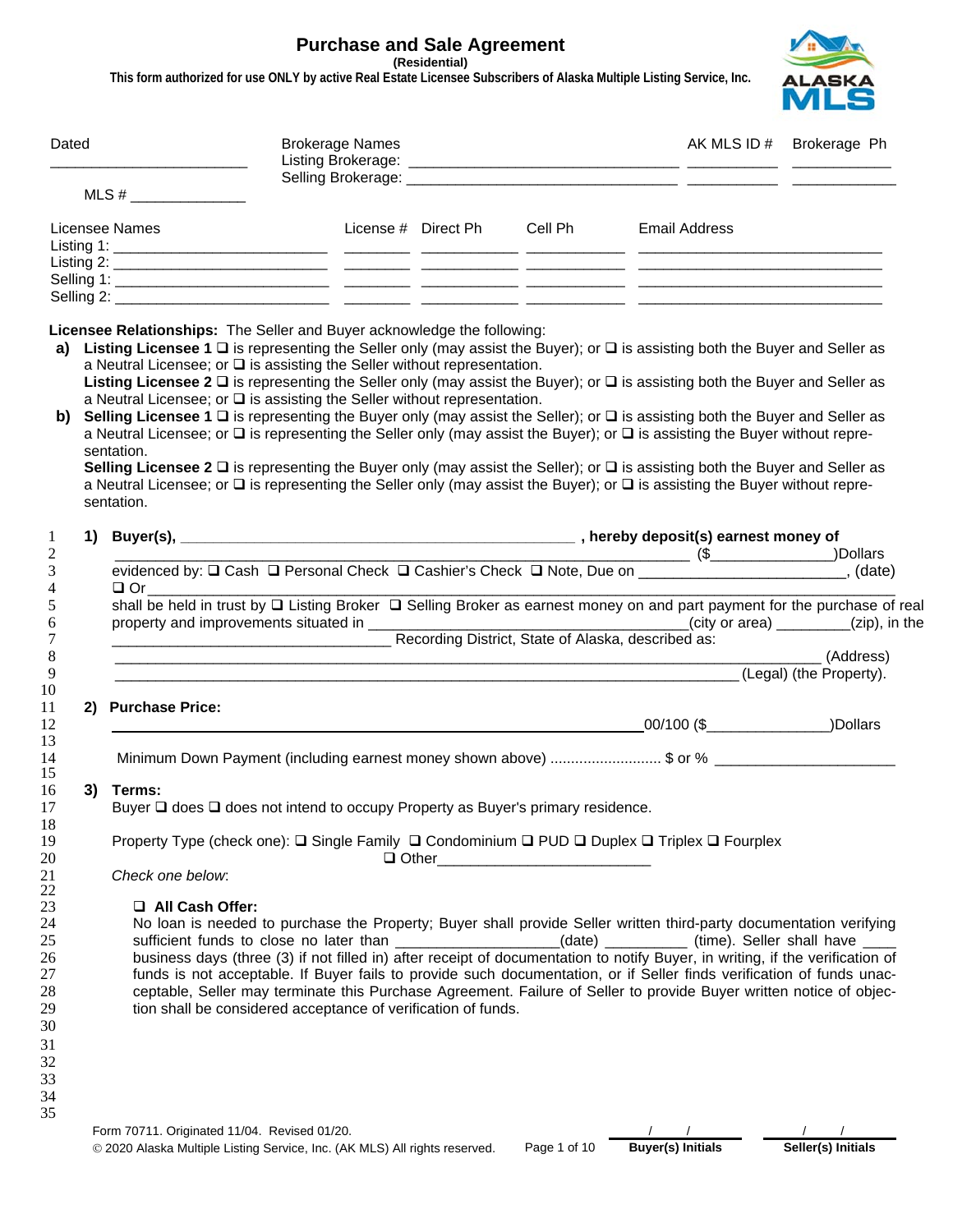# **Purchase and Sale Agreement**

**(Residential)** 

**This form authorized for use ONLY by active Real Estate Licensee Subscribers of Alaska Multiple Listing Service, Inc.**



| Dated                                      |                                                                                                                                                                                                                                                                                                                                                                                                                                                                                                                                                                                                                                                                                                                                                                                                                                                                                                                                                                                                                                              | <b>Brokerage Names</b>                                        |  |                                           |                                                                                                                                                                                                                                                                                                                                                                                                                                                                                                                                                                                                                | AK MLS ID # Brokerage Ph |  |  |  |
|--------------------------------------------|----------------------------------------------------------------------------------------------------------------------------------------------------------------------------------------------------------------------------------------------------------------------------------------------------------------------------------------------------------------------------------------------------------------------------------------------------------------------------------------------------------------------------------------------------------------------------------------------------------------------------------------------------------------------------------------------------------------------------------------------------------------------------------------------------------------------------------------------------------------------------------------------------------------------------------------------------------------------------------------------------------------------------------------------|---------------------------------------------------------------|--|-------------------------------------------|----------------------------------------------------------------------------------------------------------------------------------------------------------------------------------------------------------------------------------------------------------------------------------------------------------------------------------------------------------------------------------------------------------------------------------------------------------------------------------------------------------------------------------------------------------------------------------------------------------------|--------------------------|--|--|--|
|                                            | MLS # $\frac{1}{2}$ $\frac{1}{2}$ $\frac{1}{2}$ $\frac{1}{2}$ $\frac{1}{2}$ $\frac{1}{2}$ $\frac{1}{2}$ $\frac{1}{2}$ $\frac{1}{2}$ $\frac{1}{2}$ $\frac{1}{2}$ $\frac{1}{2}$ $\frac{1}{2}$ $\frac{1}{2}$ $\frac{1}{2}$ $\frac{1}{2}$ $\frac{1}{2}$ $\frac{1}{2}$ $\frac{1}{2}$ $\frac{1}{2}$ $\frac{1}{2}$ $\frac{1$                                                                                                                                                                                                                                                                                                                                                                                                                                                                                                                                                                                                                                                                                                                        |                                                               |  |                                           |                                                                                                                                                                                                                                                                                                                                                                                                                                                                                                                                                                                                                |                          |  |  |  |
|                                            | Licensee Names                                                                                                                                                                                                                                                                                                                                                                                                                                                                                                                                                                                                                                                                                                                                                                                                                                                                                                                                                                                                                               |                                                               |  | License # Direct Ph Cell Ph Email Address |                                                                                                                                                                                                                                                                                                                                                                                                                                                                                                                                                                                                                |                          |  |  |  |
|                                            | Licensee Relationships: The Seller and Buyer acknowledge the following:                                                                                                                                                                                                                                                                                                                                                                                                                                                                                                                                                                                                                                                                                                                                                                                                                                                                                                                                                                      |                                                               |  |                                           |                                                                                                                                                                                                                                                                                                                                                                                                                                                                                                                                                                                                                |                          |  |  |  |
| a)<br>b)                                   | Listing Licensee 1 $\Box$ is representing the Seller only (may assist the Buyer); or $\Box$ is assisting both the Buyer and Seller as<br>a Neutral Licensee; or $\square$ is assisting the Seller without representation.<br>Listing Licensee 2 $\Box$ is representing the Seller only (may assist the Buyer); or $\Box$ is assisting both the Buyer and Seller as<br>a Neutral Licensee; or $\square$ is assisting the Seller without representation.<br>Selling Licensee 1 $\Box$ is representing the Buyer only (may assist the Seller); or $\Box$ is assisting both the Buyer and Seller as<br>a Neutral Licensee; or □ is representing the Seller only (may assist the Buyer); or □ is assisting the Buyer without repre-<br>sentation.<br>Selling Licensee 2 $\Box$ is representing the Buyer only (may assist the Seller); or $\Box$ is assisting both the Buyer and Seller as<br>a Neutral Licensee; or $\Box$ is representing the Seller only (may assist the Buyer); or $\Box$ is assisting the Buyer without repre-<br>sentation. |                                                               |  |                                           |                                                                                                                                                                                                                                                                                                                                                                                                                                                                                                                                                                                                                |                          |  |  |  |
| 1<br>$\overline{c}$                        |                                                                                                                                                                                                                                                                                                                                                                                                                                                                                                                                                                                                                                                                                                                                                                                                                                                                                                                                                                                                                                              |                                                               |  |                                           |                                                                                                                                                                                                                                                                                                                                                                                                                                                                                                                                                                                                                |                          |  |  |  |
| 3<br>4<br>5<br>6<br>7<br>$\,8\,$<br>9      | evidenced by: □ Cash □ Personal Check □ Cashier's Check □ Note, Due on (\$ ________________, (date)<br>$\Box$ Or<br>shall be held in trust by Q Listing Broker Q Selling Broker as earnest money on and part payment for the purchase of real<br>Recording District, State of Alaska, described as:                                                                                                                                                                                                                                                                                                                                                                                                                                                                                                                                                                                                                                                                                                                                          |                                                               |  |                                           | (Legal) (the Property).                                                                                                                                                                                                                                                                                                                                                                                                                                                                                                                                                                                        | (Address)                |  |  |  |
| 10<br>11<br>12                             | 2) Purchase Price:                                                                                                                                                                                                                                                                                                                                                                                                                                                                                                                                                                                                                                                                                                                                                                                                                                                                                                                                                                                                                           |                                                               |  |                                           |                                                                                                                                                                                                                                                                                                                                                                                                                                                                                                                                                                                                                |                          |  |  |  |
| 13<br>14<br>15                             | Minimum Down Payment (including earnest money shown above) \$ or % ___________________                                                                                                                                                                                                                                                                                                                                                                                                                                                                                                                                                                                                                                                                                                                                                                                                                                                                                                                                                       |                                                               |  |                                           |                                                                                                                                                                                                                                                                                                                                                                                                                                                                                                                                                                                                                |                          |  |  |  |
| 16<br>17                                   | 3) Terms:<br>Buyer □ does □ does not intend to occupy Property as Buyer's primary residence.                                                                                                                                                                                                                                                                                                                                                                                                                                                                                                                                                                                                                                                                                                                                                                                                                                                                                                                                                 |                                                               |  |                                           |                                                                                                                                                                                                                                                                                                                                                                                                                                                                                                                                                                                                                |                          |  |  |  |
| 18<br>19<br>20                             | Property Type (check one): □ Single Family □ Condominium □ PUD □ Duplex □ Triplex □ Fourplex                                                                                                                                                                                                                                                                                                                                                                                                                                                                                                                                                                                                                                                                                                                                                                                                                                                                                                                                                 |                                                               |  |                                           |                                                                                                                                                                                                                                                                                                                                                                                                                                                                                                                                                                                                                |                          |  |  |  |
| 21<br>22                                   | Check one below:                                                                                                                                                                                                                                                                                                                                                                                                                                                                                                                                                                                                                                                                                                                                                                                                                                                                                                                                                                                                                             |                                                               |  |                                           |                                                                                                                                                                                                                                                                                                                                                                                                                                                                                                                                                                                                                |                          |  |  |  |
| 23<br>24<br>$25\,$<br>26<br>27<br>28<br>29 | All Cash Offer:                                                                                                                                                                                                                                                                                                                                                                                                                                                                                                                                                                                                                                                                                                                                                                                                                                                                                                                                                                                                                              | tion shall be considered acceptance of verification of funds. |  |                                           | No loan is needed to purchase the Property; Buyer shall provide Seller written third-party documentation verifying<br>sufficient funds to close no later than __________________(date) ________(time). Seller shall have ____<br>business days (three (3) if not filled in) after receipt of documentation to notify Buyer, in writing, if the verification of<br>funds is not acceptable. If Buyer fails to provide such documentation, or if Seller finds verification of funds unac-<br>ceptable, Seller may terminate this Purchase Agreement. Failure of Seller to provide Buyer written notice of objec- |                          |  |  |  |
| 30<br>31<br>32<br>33<br>34<br>35           |                                                                                                                                                                                                                                                                                                                                                                                                                                                                                                                                                                                                                                                                                                                                                                                                                                                                                                                                                                                                                                              |                                                               |  |                                           |                                                                                                                                                                                                                                                                                                                                                                                                                                                                                                                                                                                                                |                          |  |  |  |

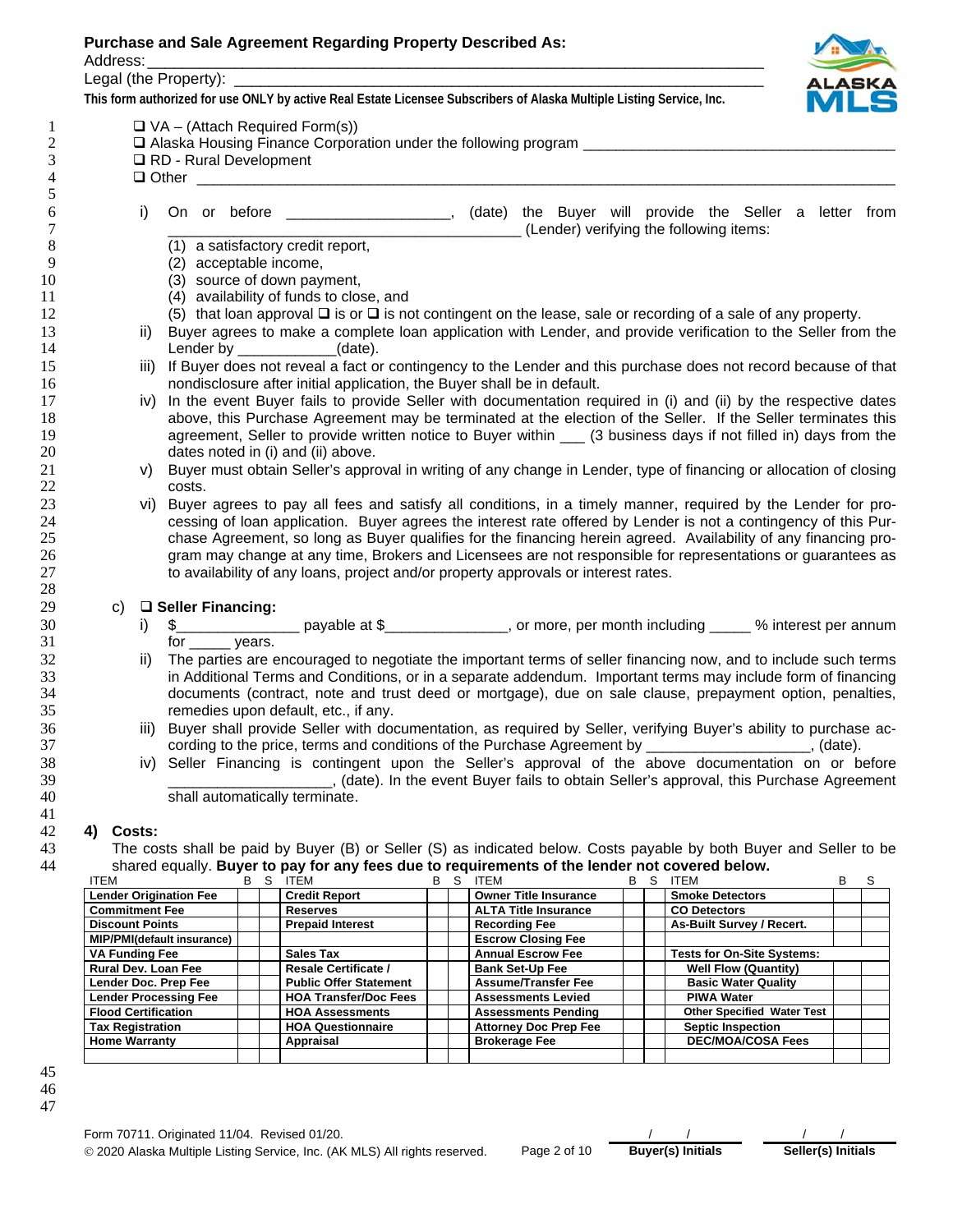Address: \_\_\_\_\_\_\_\_\_\_\_\_\_\_\_\_\_\_\_\_\_\_\_\_\_\_\_\_\_\_\_\_\_\_\_\_\_\_\_\_\_\_\_\_\_\_\_\_\_\_\_\_\_\_\_\_\_\_\_\_\_\_\_\_\_\_\_\_\_\_\_

Legal (the Property):

**This form authorized for use ONLY by active Real Estate Licensee Subscribers of Alaska Multiple Listing Service, Inc.** 



|    | i)   | On or before _____________________, (date) the Buyer will provide the Seller a letter from                                                                                                                                                                                                                                                                                                                                                                                                                                                                                              |
|----|------|-----------------------------------------------------------------------------------------------------------------------------------------------------------------------------------------------------------------------------------------------------------------------------------------------------------------------------------------------------------------------------------------------------------------------------------------------------------------------------------------------------------------------------------------------------------------------------------------|
|    |      | (Lender) verifying the following items:<br>(1) a satisfactory credit report,                                                                                                                                                                                                                                                                                                                                                                                                                                                                                                            |
|    |      | (2) acceptable income,                                                                                                                                                                                                                                                                                                                                                                                                                                                                                                                                                                  |
|    |      | (3) source of down payment,                                                                                                                                                                                                                                                                                                                                                                                                                                                                                                                                                             |
|    |      | (4) availability of funds to close, and                                                                                                                                                                                                                                                                                                                                                                                                                                                                                                                                                 |
|    |      | (5) that loan approval $\square$ is or $\square$ is not contingent on the lease, sale or recording of a sale of any property.                                                                                                                                                                                                                                                                                                                                                                                                                                                           |
|    | ii)  | Buyer agrees to make a complete loan application with Lender, and provide verification to the Seller from the                                                                                                                                                                                                                                                                                                                                                                                                                                                                           |
|    |      | Lender by $\sqrt{2}$ (date).                                                                                                                                                                                                                                                                                                                                                                                                                                                                                                                                                            |
|    | iii) | If Buyer does not reveal a fact or contingency to the Lender and this purchase does not record because of that                                                                                                                                                                                                                                                                                                                                                                                                                                                                          |
|    |      | nondisclosure after initial application, the Buyer shall be in default.                                                                                                                                                                                                                                                                                                                                                                                                                                                                                                                 |
|    | IV)  | In the event Buyer fails to provide Seller with documentation required in (i) and (ii) by the respective dates                                                                                                                                                                                                                                                                                                                                                                                                                                                                          |
|    |      | above, this Purchase Agreement may be terminated at the election of the Seller. If the Seller terminates this                                                                                                                                                                                                                                                                                                                                                                                                                                                                           |
|    |      | agreement, Seller to provide written notice to Buyer within __ (3 business days if not filled in) days from the                                                                                                                                                                                                                                                                                                                                                                                                                                                                         |
|    |      | dates noted in (i) and (ii) above.                                                                                                                                                                                                                                                                                                                                                                                                                                                                                                                                                      |
|    |      |                                                                                                                                                                                                                                                                                                                                                                                                                                                                                                                                                                                         |
|    |      |                                                                                                                                                                                                                                                                                                                                                                                                                                                                                                                                                                                         |
|    | V)   | costs.                                                                                                                                                                                                                                                                                                                                                                                                                                                                                                                                                                                  |
|    | vi)  |                                                                                                                                                                                                                                                                                                                                                                                                                                                                                                                                                                                         |
|    |      |                                                                                                                                                                                                                                                                                                                                                                                                                                                                                                                                                                                         |
|    |      |                                                                                                                                                                                                                                                                                                                                                                                                                                                                                                                                                                                         |
|    |      |                                                                                                                                                                                                                                                                                                                                                                                                                                                                                                                                                                                         |
|    |      | to availability of any loans, project and/or property approvals or interest rates.                                                                                                                                                                                                                                                                                                                                                                                                                                                                                                      |
|    |      | Buyer must obtain Seller's approval in writing of any change in Lender, type of financing or allocation of closing<br>Buyer agrees to pay all fees and satisfy all conditions, in a timely manner, required by the Lender for pro-<br>cessing of loan application. Buyer agrees the interest rate offered by Lender is not a contingency of this Pur-<br>chase Agreement, so long as Buyer qualifies for the financing herein agreed. Availability of any financing pro-<br>gram may change at any time, Brokers and Licensees are not responsible for representations or guarantees as |
| C) |      | □ Seller Financing:                                                                                                                                                                                                                                                                                                                                                                                                                                                                                                                                                                     |
|    | i)   |                                                                                                                                                                                                                                                                                                                                                                                                                                                                                                                                                                                         |
|    |      | for $\rule{1em}{0.15mm}$ years.                                                                                                                                                                                                                                                                                                                                                                                                                                                                                                                                                         |
|    | ii)  |                                                                                                                                                                                                                                                                                                                                                                                                                                                                                                                                                                                         |
|    |      | The parties are encouraged to negotiate the important terms of seller financing now, and to include such terms<br>in Additional Terms and Conditions, or in a separate addendum. Important terms may include form of financing                                                                                                                                                                                                                                                                                                                                                          |
|    |      | documents (contract, note and trust deed or mortgage), due on sale clause, prepayment option, penalties,                                                                                                                                                                                                                                                                                                                                                                                                                                                                                |
|    |      | remedies upon default, etc., if any.                                                                                                                                                                                                                                                                                                                                                                                                                                                                                                                                                    |
|    | iii) | Buyer shall provide Seller with documentation, as required by Seller, verifying Buyer's ability to purchase ac-                                                                                                                                                                                                                                                                                                                                                                                                                                                                         |
|    |      | cording to the price, terms and conditions of the Purchase Agreement by ____________________, (date).                                                                                                                                                                                                                                                                                                                                                                                                                                                                                   |
|    |      | iv) Seller Financing is contingent upon the Seller's approval of the above documentation on or before                                                                                                                                                                                                                                                                                                                                                                                                                                                                                   |
|    |      | (date). In the event Buyer fails to obtain Seller's approval, this Purchase Agreement<br>shall automatically terminate.                                                                                                                                                                                                                                                                                                                                                                                                                                                                 |

| .                                 |  | .                             |  |                              |  |                                   |  |
|-----------------------------------|--|-------------------------------|--|------------------------------|--|-----------------------------------|--|
| <b>Lender Origination Fee</b>     |  | <b>Credit Report</b>          |  | <b>Owner Title Insurance</b> |  | <b>Smoke Detectors</b>            |  |
| <b>Commitment Fee</b>             |  | <b>Reserves</b>               |  | <b>ALTA Title Insurance</b>  |  | <b>CO Detectors</b>               |  |
| <b>Discount Points</b>            |  | <b>Prepaid Interest</b>       |  | <b>Recording Fee</b>         |  | As-Built Survey / Recert.         |  |
| <b>MIP/PMI(default insurance)</b> |  |                               |  | <b>Escrow Closing Fee</b>    |  |                                   |  |
| <b>VA Funding Fee</b>             |  | <b>Sales Tax</b>              |  | <b>Annual Escrow Fee</b>     |  | <b>Tests for On-Site Systems:</b> |  |
| <b>Rural Dev. Loan Fee</b>        |  | <b>Resale Certificate /</b>   |  | <b>Bank Set-Up Fee</b>       |  | <b>Well Flow (Quantity)</b>       |  |
| Lender Doc. Prep Fee              |  | <b>Public Offer Statement</b> |  | <b>Assume/Transfer Fee</b>   |  | <b>Basic Water Quality</b>        |  |
| <b>Lender Processing Fee</b>      |  | <b>HOA Transfer/Doc Fees</b>  |  | <b>Assessments Levied</b>    |  | <b>PIWA Water</b>                 |  |
| <b>Flood Certification</b>        |  | <b>HOA Assessments</b>        |  | <b>Assessments Pending</b>   |  | <b>Other Specified Water Test</b> |  |
| <b>Tax Registration</b>           |  | <b>HOA Questionnaire</b>      |  | <b>Attorney Doc Prep Fee</b> |  | <b>Septic Inspection</b>          |  |
| <b>Home Warranty</b>              |  | Appraisal                     |  | <b>Brokerage Fee</b>         |  | <b>DEC/MOA/COSA Fees</b>          |  |
|                                   |  |                               |  |                              |  |                                   |  |

Form 70711. Originated 11/04. Revised 01/20. © 2020 Alaska Multiple Listing Service, Inc. (AK MLS) All rights reserved. Page 2 of 10 **Buyer(s) Initials Seller(s) Initials**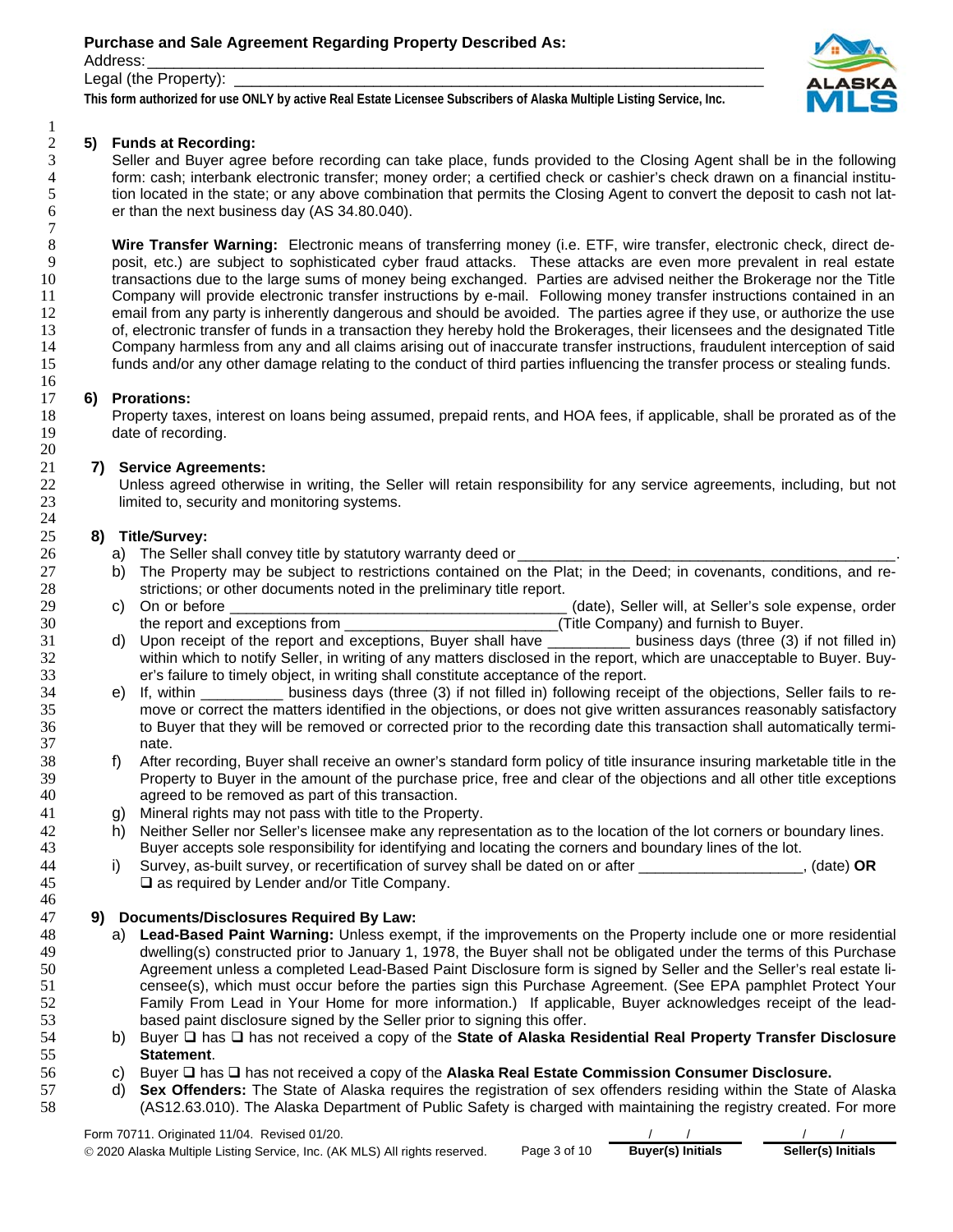Address: \_\_\_\_\_\_\_\_\_\_\_\_\_\_\_\_\_\_\_\_\_\_\_\_\_\_\_\_\_\_\_\_\_\_\_\_\_\_\_\_\_\_\_\_\_\_\_\_\_\_\_\_\_\_\_\_\_\_\_\_\_\_\_\_\_\_\_\_\_\_\_

 $\frac{1}{2}$ 

### Legal (the Property):

**This form authorized for use ONLY by active Real Estate Licensee Subscribers of Alaska Multiple Listing Service, Inc.** 

# **5) Funds at Recording:**



Seller and Buyer agree before recording can take place, funds provided to the Closing Agent shall be in the following form: cash; interbank electronic transfer; money order; a certified check or cashier's check drawn on a financial institution located in the state; or any above combination that permits the Closing Agent to convert the deposit to cash not lat-er than the next business day (AS 34.80.040).

**Wire Transfer Warning:** Electronic means of transferring money (i.e. ETF, wire transfer, electronic check, direct de-posit, etc.) are subject to sophisticated cyber fraud attacks. These attacks are even more prevalent in real estate transactions due to the large sums of money being exchanged. Parties are advised neither the Brokerage nor the Title Company will provide electronic transfer instructions by e-mail. Following money transfer instructions contained in an 12 email from any party is inherently dangerous and should be avoided. The parties agree if they use, or authorize the use 13 of, electronic transfer of funds in a transaction they hereby hold the Brokerages, their licensees and the designated Title<br>14 Company harmless from any and all claims arising out of inaccurate transfer instructions, fr Company harmless from any and all claims arising out of inaccurate transfer instructions, fraudulent interception of said funds and/or any other damage relating to the conduct of third parties influencing the transfer process or stealing funds.

### **6) Prorations:**

Property taxes, interest on loans being assumed, prepaid rents, and HOA fees, if applicable, shall be prorated as of the date of recording.

## **7) Service Agreements:**

Unless agreed otherwise in writing, the Seller will retain responsibility for any service agreements, including, but not limited to, security and monitoring systems.

### **8) Title***/***Survey:**

- 26 a) The Seller shall convey title by statutory warranty deed or
- 27 b) The Property may be subject to restrictions contained on the Plat; in the Deed; in covenants, conditions, and re-<br>28 strictions; or other documents noted in the preliminary title report. strictions; or other documents noted in the preliminary title report.
- c) On or before \_\_\_\_\_\_\_\_\_\_\_\_\_\_\_\_\_\_\_\_\_\_\_\_\_\_\_\_\_\_\_\_\_\_\_\_\_\_\_\_\_ (date), Seller will, at Seller's sole expense, order 30 the report and exceptions from **the report and exceptions** from **a** the state of the Company) and furnish to Buyer.
- 31 d) Upon receipt of the report and exceptions, Buyer shall have business days (three (3) if not filled in) 32 within which to notify Seller, in writing of any matters disclosed in the report, which are unacceptable to Buyer. Buy-<br>33 er's failure to timely object, in writing shall constitute acceptance of the report. er's failure to timely object, in writing shall constitute acceptance of the report.
- e) If, within \_\_\_\_\_\_\_\_\_\_ business days (three (3) if not filled in) following receipt of the objections, Seller fails to re-move or correct the matters identified in the objections, or does not give written assurances reasonably satisfactory to Buyer that they will be removed or corrected prior to the recording date this transaction shall automatically termi-nate.
- f) After recording, Buyer shall receive an owner's standard form policy of title insurance insuring marketable title in the Property to Buyer in the amount of the purchase price, free and clear of the objections and all other title exceptions agreed to be removed as part of this transaction.
- g) Mineral rights may not pass with title to the Property.
- 42 h) Neither Seller nor Seller's licensee make any representation as to the location of the lot corners or boundary lines.<br>43 Buver accepts sole responsibility for identifying and locating the corners and boundary lines o
- 43 Buyer accepts sole responsibility for identifying and locating the corners and boundary lines of the lot.<br>44 i) Survey, as-built survey, or recertification of survey shall be dated on or after i) Survey, as-built survey, or recertification of survey shall be dated on or after \_\_\_\_\_\_\_\_\_\_\_\_\_\_\_\_\_\_\_\_, (date) **OR** as required by Lender and/or Title Company.

## **9) Documents/Disclosures Required By Law:**

- a) **Lead-Based Paint Warning:** Unless exempt, if the improvements on the Property include one or more residential dwelling(s) constructed prior to January 1, 1978, the Buyer shall not be obligated under the terms of this Purchase Agreement unless a completed Lead-Based Paint Disclosure form is signed by Seller and the Seller's real estate li-censee(s), which must occur before the parties sign this Purchase Agreement. (See EPA pamphlet Protect Your Family From Lead in Your Home for more information.) If applicable, Buyer acknowledges receipt of the lead-based paint disclosure signed by the Seller prior to signing this offer.
- 54 b) Buyer  $\Box$  has  $\Box$  has not received a copy of the **State of Alaska Residential Real Property Transfer Disclosure Statement**.
- 56 c) Buyer □ has □ has not received a copy of the Alaska Real Estate Commission Consumer Disclosure.
- d) **Sex Offenders:** The State of Alaska requires the registration of sex offenders residing within the State of Alaska (AS12.63.010). The Alaska Department of Public Safety is charged with maintaining the registry created. For more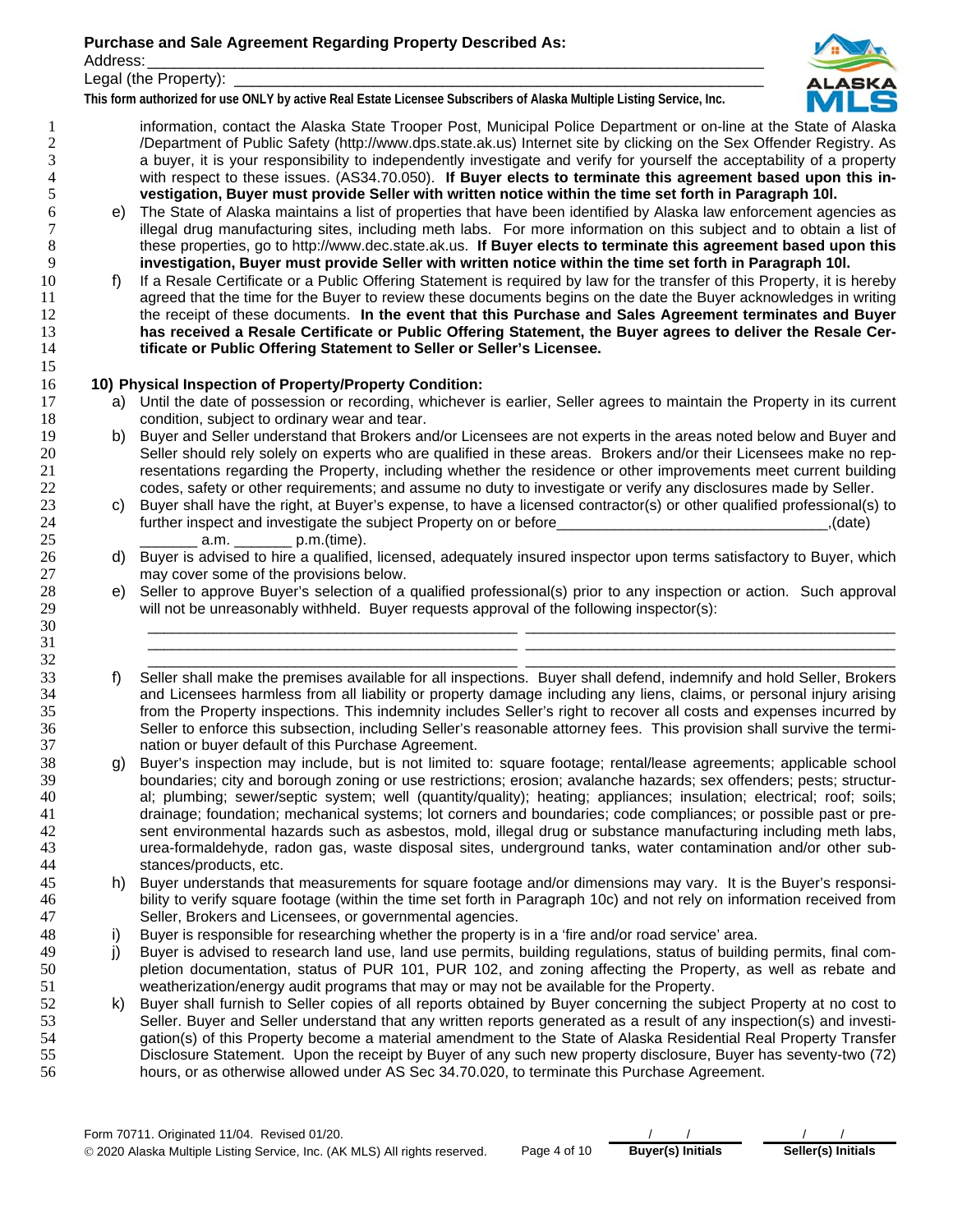Address: \_\_\_\_\_\_\_\_\_\_\_\_\_\_\_\_\_\_\_\_\_\_\_\_\_\_\_\_\_\_\_\_\_\_\_\_\_\_\_\_\_\_\_\_\_\_\_\_\_\_\_\_\_\_\_\_\_\_\_\_\_\_\_\_\_\_\_\_\_\_\_

Legal (the Property):

**This form authorized for use ONLY by active Real Estate Licensee Subscribers of Alaska Multiple Listing Service, Inc.** 



information, contact the Alaska State Trooper Post, Municipal Police Department or on-line at the State of Alaska /Department of Public Safety (http://www.dps.state.ak.us) Internet site by clicking on the Sex Offender Registry. As a buyer, it is your responsibility to independently investigate and verify for yourself the acceptability of a property with respect to these issues. (AS34.70.050). **If Buyer elects to terminate this agreement based upon this in-vestigation, Buyer must provide Seller with written notice within the time set forth in Paragraph 10l.**

- e) The State of Alaska maintains a list of properties that have been identified by Alaska law enforcement agencies as illegal drug manufacturing sites, including meth labs. For more information on this subject and to obtain a list of these properties, go to http://www.dec.state.ak.us. **If Buyer elects to terminate this agreement based upon this investigation, Buyer must provide Seller with written notice within the time set forth in Paragraph 10l.**
- f) If a Resale Certificate or a Public Offering Statement is required by law for the transfer of this Property, it is hereby 11 agreed that the time for the Buyer to review these documents begins on the date the Buyer acknowledges in writing the receipt of these documents. **In the event that this Purchase and Sales Agreement terminates and Buyer has received a Resale Certificate or Public Offering Statement, the Buyer agrees to deliver the Resale Cer-tificate or Public Offering Statement to Seller or Seller's Licensee.**

## **10) Physical Inspection of Property/Property Condition:**

- a) Until the date of possession or recording, whichever is earlier, Seller agrees to maintain the Property in its current condition, subject to ordinary wear and tear.
- 19 b) Buyer and Seller understand that Brokers and/or Licensees are not experts in the areas noted below and Buyer and<br>20 Seller should rely solely on experts who are qualified in these areas. Brokers and/or their Licensee Seller should rely solely on experts who are qualified in these areas. Brokers and/or their Licensees make no rep-resentations regarding the Property, including whether the residence or other improvements meet current building codes, safety or other requirements; and assume no duty to investigate or verify any disclosures made by Seller.
- c) Buyer shall have the right, at Buyer's expense, to have a licensed contractor(s) or other qualified professional(s) to further inspect and investigate the subject Property on or before\_\_\_\_\_\_\_\_\_\_\_\_\_\_\_\_\_\_\_\_\_\_\_\_\_\_\_\_\_\_\_\_\_,(date) \_\_\_\_\_\_\_ a.m. \_\_\_\_\_\_\_ p.m.(time).
- 26 d) Buyer is advised to hire a qualified, licensed, adequately insured inspector upon terms satisfactory to Buyer, which may cover some of the provisions below.
- e) Seller to approve Buyer's selection of a qualified professional(s) prior to any inspection or action. Such approval will not be unreasonably withheld. Buyer requests approval of the following inspector(s):

\_\_\_\_\_\_\_\_\_\_\_\_\_\_\_\_\_\_\_\_\_\_\_\_\_\_\_\_\_\_\_\_\_\_\_\_\_\_\_\_\_\_\_\_\_ \_\_\_\_\_\_\_\_\_\_\_\_\_\_\_\_\_\_\_\_\_\_\_\_\_\_\_\_\_\_\_\_\_\_\_\_\_\_\_\_\_\_\_\_\_ \_\_\_\_\_\_\_\_\_\_\_\_\_\_\_\_\_\_\_\_\_\_\_\_\_\_\_\_\_\_\_\_\_\_\_\_\_\_\_\_\_\_\_\_\_ \_\_\_\_\_\_\_\_\_\_\_\_\_\_\_\_\_\_\_\_\_\_\_\_\_\_\_\_\_\_\_\_\_\_\_\_\_\_\_\_\_\_\_\_\_ \_\_\_\_\_\_\_\_\_\_\_\_\_\_\_\_\_\_\_\_\_\_\_\_\_\_\_\_\_\_\_\_\_\_\_\_\_\_\_\_\_\_\_\_\_ \_\_\_\_\_\_\_\_\_\_\_\_\_\_\_\_\_\_\_\_\_\_\_\_\_\_\_\_\_\_\_\_\_\_\_\_\_\_\_\_\_\_\_\_\_

- f) Seller shall make the premises available for all inspections. Buyer shall defend, indemnify and hold Seller, Brokers and Licensees harmless from all liability or property damage including any liens, claims, or personal injury arising from the Property inspections. This indemnity includes Seller's right to recover all costs and expenses incurred by Seller to enforce this subsection, including Seller's reasonable attorney fees. This provision shall survive the termi-nation or buyer default of this Purchase Agreement.
- g) Buyer's inspection may include, but is not limited to: square footage; rental/lease agreements; applicable school boundaries; city and borough zoning or use restrictions; erosion; avalanche hazards; sex offenders; pests; structur-al; plumbing; sewer/septic system; well (quantity/quality); heating; appliances; insulation; electrical; roof; soils; drainage; foundation; mechanical systems; lot corners and boundaries; code compliances; or possible past or pre-sent environmental hazards such as asbestos, mold, illegal drug or substance manufacturing including meth labs, urea-formaldehyde, radon gas, waste disposal sites, underground tanks, water contamination and/or other sub-stances/products, etc.
- h) Buyer understands that measurements for square footage and/or dimensions may vary. It is the Buyer's responsi-bility to verify square footage (within the time set forth in Paragraph 10c) and not rely on information received from Seller, Brokers and Licensees, or governmental agencies.
- i) Buyer is responsible for researching whether the property is in a 'fire and/or road service' area.
- 49 j) Buyer is advised to research land use, land use permits, building regulations, status of building permits, final com-pletion documentation, status of PUR 101, PUR 102, and zoning affecting the Property, as well as rebate and weatherization/energy audit programs that may or may not be available for the Property.
- k) Buyer shall furnish to Seller copies of all reports obtained by Buyer concerning the subject Property at no cost to Seller. Buyer and Seller understand that any written reports generated as a result of any inspection(s) and investi-gation(s) of this Property become a material amendment to the State of Alaska Residential Real Property Transfer Disclosure Statement. Upon the receipt by Buyer of any such new property disclosure, Buyer has seventy-two (72) hours, or as otherwise allowed under AS Sec 34.70.020, to terminate this Purchase Agreement.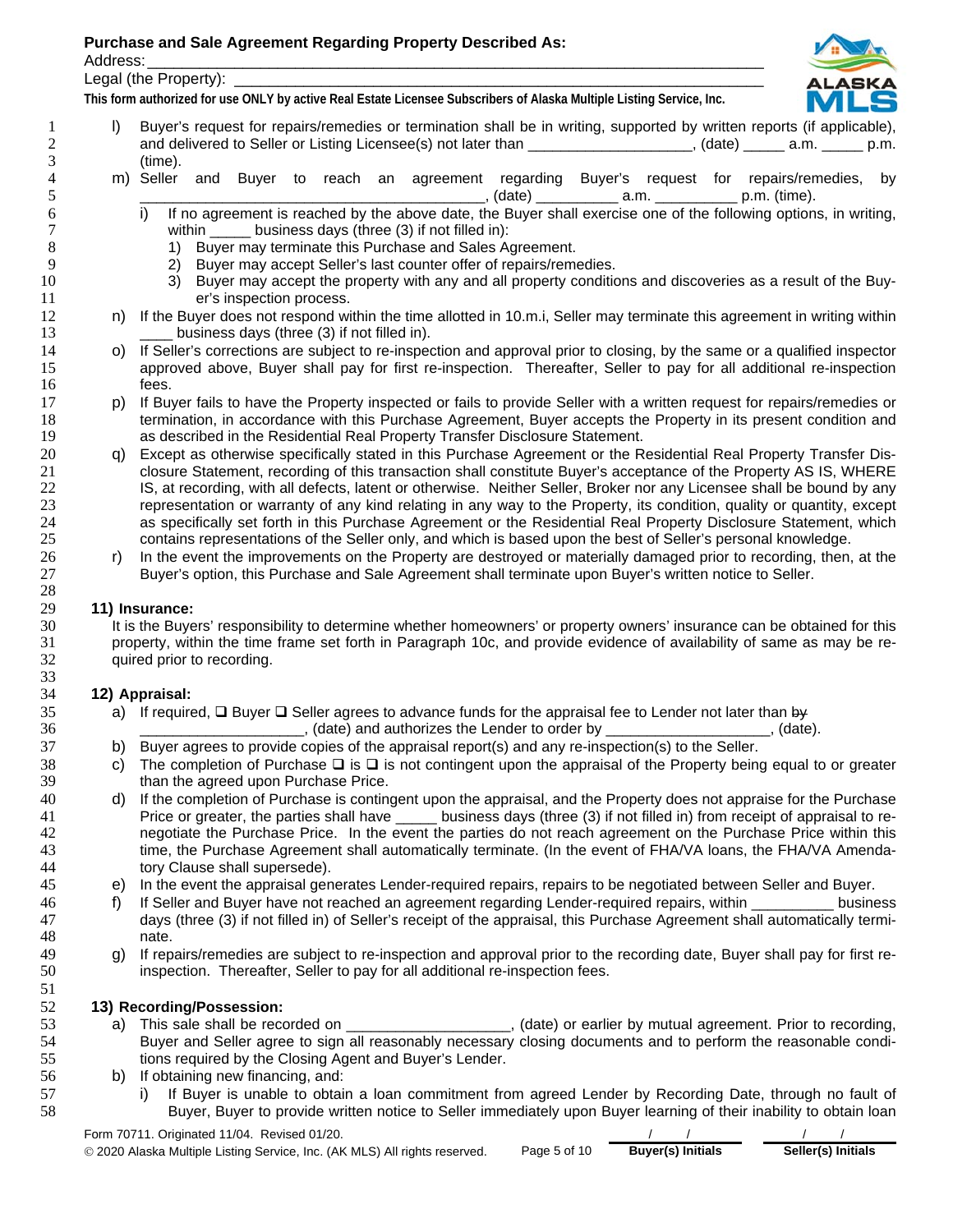Address: \_\_\_\_\_\_\_\_\_\_\_\_\_\_\_\_\_\_\_\_\_\_\_\_\_\_\_\_\_\_\_\_\_\_\_\_\_\_\_\_\_\_\_\_\_\_\_\_\_\_\_\_\_\_\_\_\_\_\_\_\_\_\_\_\_\_\_\_\_\_\_

Legal (the Property):

**This form authorized for use ONLY by active Real Estate Licensee Subscribers of Alaska Multiple Listing Service, Inc.** 

- 
- 1 l) Buyer's request for repairs/remedies or termination shall be in writing, supported by written reports (if applicable), 2 and delivered to Seller or Listing Licensee(s) not later than \_\_\_\_\_\_\_\_\_\_\_\_\_\_\_\_\_, (date) \_\_\_\_\_ a.m. \_\_\_\_\_ p.m.
- 3 (time).<br>4 m) Seller 4 m) Seller and Buyer to reach an agreement regarding Buyer's request for repairs/remedies, by \_, (date) \_\_\_\_\_\_\_\_\_\_\_\_\_\_ a.m. \_\_\_\_\_\_\_\_\_\_\_\_\_\_ p.m. (time).
- 6 i) If no agreement is reached by the above date, the Buyer shall exercise one of the following options, in writing, 7 within understanding business days (three (3) if not filled in):<br>
8 1) Buyer may terminate this Purchase and Sales A
- 8 1) Buyer may terminate this Purchase and Sales Agreement.<br>9 2) Buyer may accept Seller's last counter offer of repairs/reme
	- 2) Buyer may accept Seller's last counter offer of repairs/remedies.
- 10 3) Buyer may accept the property with any and all property conditions and discoveries as a result of the Buy-11 er's inspection process.
- 12 n) If the Buyer does not respond within the time allotted in 10.m.i, Seller may terminate this agreement in writing within 13 business days (three (3) if not filled in).
- 14 o) If Seller's corrections are subject to re-inspection and approval prior to closing, by the same or a qualified inspector 15 approved above, Buyer shall pay for first re-inspection. Thereafter, Seller to pay for all additional re-inspection 16 fees.
- 17 p) If Buyer fails to have the Property inspected or fails to provide Seller with a written request for repairs/remedies or<br>18 fermination, in accordance with this Purchase Agreement. Buyer accepts the Property in its pr termination, in accordance with this Purchase Agreement, Buyer accepts the Property in its present condition and 19 as described in the Residential Real Property Transfer Disclosure Statement.
- 20 q) Except as otherwise specifically stated in this Purchase Agreement or the Residential Real Property Transfer Dis-<br>21 closure Statement, recording of this transaction shall constitute Buyer's acceptance of the Propert closure Statement, recording of this transaction shall constitute Buyer's acceptance of the Property AS IS, WHERE 22 IS, at recording, with all defects, latent or otherwise. Neither Seller, Broker nor any Licensee shall be bound by any 23 representation or warranty of any kind relating in any way to the Property, its condition, quality or quantity, except 24 as specifically set forth in this Purchase Agreement or the Residential Real Property Disclosure as specifically set forth in this Purchase Agreement or the Residential Real Property Disclosure Statement, which 25 contains representations of the Seller only, and which is based upon the best of Seller's personal knowledge.
- 26 r) In the event the improvements on the Property are destroyed or materially damaged prior to recording, then, at the 27 Buyer's option, this Purchase and Sale Agreement shall terminate upon Buyer's written notice to Seller.

### 29 **11) Insurance:**

30 It is the Buyers' responsibility to determine whether homeowners' or property owners' insurance can be obtained for this<br>31 property, within the time frame set forth in Paragraph 10c, and provide evidence of availabilit 31 property, within the time frame set forth in Paragraph 10c, and provide evidence of availability of same as may be re-32 quired prior to recording.

## 34 **12) Appraisal:**

- 35 a) If required,  $\Box$  Buyer  $\Box$  Seller agrees to advance funds for the appraisal fee to Lender not later than by
- 36 **36 and authorizes the Lender to order by and authorizes the Lender to order by and authorizes** the Lender to order by
- 37 b) Buyer agrees to provide copies of the appraisal report(s) and any re-inspection(s) to the Seller.
- 38 c) The completion of Purchase  $\Box$  is  $\Box$  is not contingent upon the appraisal of the Property being equal to or greater than the agreed upon Purchase Price. than the agreed upon Purchase Price.
- 40 d) If the completion of Purchase is contingent upon the appraisal, and the Property does not appraise for the Purchase<br>41 Price or greater, the parties shall have \_\_\_\_\_ business days (three (3) if not filled in) from re 41 Price or greater, the parties shall have business days (three (3) if not filled in) from receipt of appraisal to re-42 negotiate the Purchase Price. In the event the parties do not reach agreement on the Purchase Price within this 43 time, the Purchase Agreement shall automatically terminate. (In the event of FHA/VA loans, the FHA/VA Amenda-44 tory Clause shall supersede).
- 45 e) In the event the appraisal generates Lender-required repairs, repairs to be negotiated between Seller and Buyer.
- 46 f) If Seller and Buyer have not reached an agreement regarding Lender-required repairs, within business 47 days (three (3) if not filled in) of Seller's receipt of the appraisal, this Purchase Agreement shall automatically termi-48 nate.
- 49 g) If repairs/remedies are subject to re-inspection and approval prior to the recording date, Buyer shall pay for first re-50 inspection. Thereafter, Seller to pay for all additional re-inspection fees.

## 52 **13) Recording/Possession:**

- 53 a) This sale shall be recorded on \_\_\_\_\_\_\_\_\_\_\_\_\_\_\_\_\_\_\_, (date) or earlier by mutual agreement. Prior to recording, 54 Buyer and Seller agree to sign all reasonably necessary closing documents and to perform the reasonable condi-55 tions required by the Closing Agent and Buyer's Lender.
- 56 b) If obtaining new financing, and:
- 57 i) If Buyer is unable to obtain a loan commitment from agreed Lender by Recording Date, through no fault of 58 Buyer, Buyer to provide written notice to Seller immediately upon Buyer learning of their inability to obtain loan

Form 70711. Originated 11/04. Revised 01/20. © 2020 Alaska Multiple Listing Service, Inc. (AK MLS) All rights reserved. Page 5 of 10 **Buyer(s) Initials Seller(s) Initials**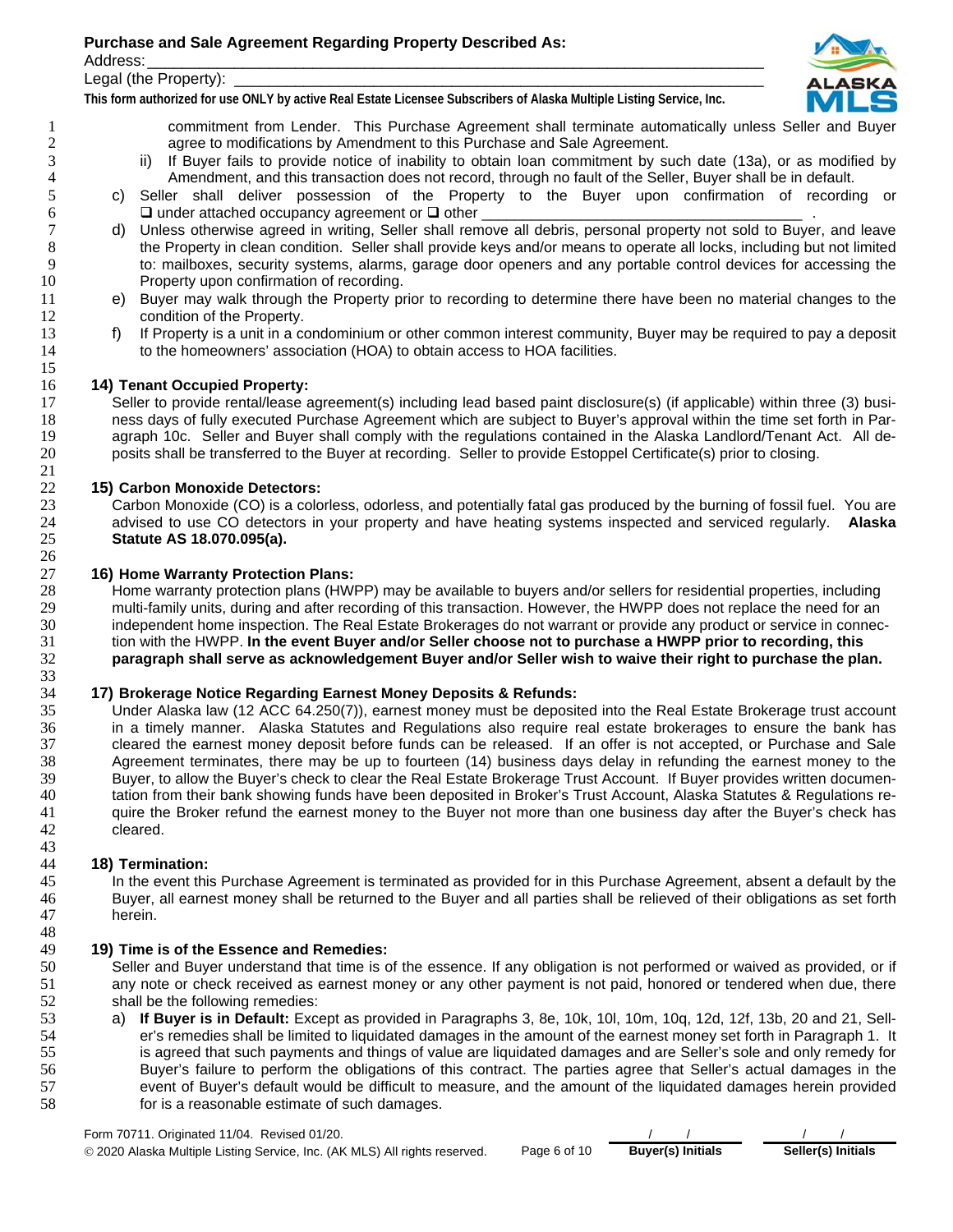Address: \_\_\_\_\_\_\_\_\_\_\_\_\_\_\_\_\_\_\_\_\_\_\_\_\_\_\_\_\_\_\_\_\_\_\_\_\_\_\_\_\_\_\_\_\_\_\_\_\_\_\_\_\_\_\_\_\_\_\_\_\_\_\_\_\_\_\_\_\_\_\_

Legal (the Property):

**This form authorized for use ONLY by active Real Estate Licensee Subscribers of Alaska Multiple Listing Service, Inc.** 



commitment from Lender. This Purchase Agreement shall terminate automatically unless Seller and Buyer agree to modifications by Amendment to this Purchase and Sale Agreement.

- 3 ii) If Buyer fails to provide notice of inability to obtain loan commitment by such date (13a), or as modified by<br>4 Amendment, and this transaction does not record, through no fault of the Seller, Buyer shall be in defau Amendment, and this transaction does not record, through no fault of the Seller, Buyer shall be in default.
- c) Seller shall deliver possession of the Property to the Buyer upon confirmation of recording or 6  $\Box$  under attached occupancy agreement or  $\Box$  other
- 7 d) Unless otherwise agreed in writing, Seller shall remove all debris, personal property not sold to Buyer, and leave<br>8 the Property in clean condition. Seller shall provide keys and/or means to operate all locks, includ 8 the Property in clean condition. Seller shall provide keys and/or means to operate all locks, including but not limited<br>8 to: mailboxes, security systems, alarms, garage door openers and any portable control devices for to: mailboxes, security systems, alarms, garage door openers and any portable control devices for accessing the Property upon confirmation of recording.
- e) Buyer may walk through the Property prior to recording to determine there have been no material changes to the **condition of the Property.**
- 13 f) If Property is a unit in a condominium or other common interest community, Buyer may be required to pay a deposit 14 to the homeowners' association (HOA) to obtain access to HOA facilities. to the homeowners' association (HOA) to obtain access to HOA facilities.

## **14) Tenant Occupied Property:**

17 Seller to provide rental/lease agreement(s) including lead based paint disclosure(s) (if applicable) within three (3) busi-<br>18 Thes days of fully executed Purchase Agreement which are subiect to Buver's approval within ness days of fully executed Purchase Agreement which are subject to Buyer's approval within the time set forth in Par-19 agraph 10c. Seller and Buyer shall comply with the regulations contained in the Alaska Landlord/Tenant Act. All de-<br>20 posits shall be transferred to the Buyer at recording. Seller to provide Estoppel Certificate(s) pri posits shall be transferred to the Buyer at recording. Seller to provide Estoppel Certificate(s) prior to closing.

## **15) Carbon Monoxide Detectors:**

23 Carbon Monoxide (CO) is a colorless, odorless, and potentially fatal gas produced by the burning of fossil fuel. You are<br>24 advised to use CO detectors in your property and have heating systems inspected and serviced re advised to use CO detectors in your property and have heating systems inspected and serviced regularly. **Alaska Statute AS 18.070.095(a).**

### **16) Home Warranty Protection Plans:**

Home warranty protection plans (HWPP) may be available to buyers and/or sellers for residential properties, including 29 multi-family units, during and after recording of this transaction. However, the HWPP does not replace the need for an<br>30 independent home inspection. The Real Estate Brokerages do not warrant or provide any product or independent home inspection. The Real Estate Brokerages do not warrant or provide any product or service in connec-tion with the HWPP. **In the event Buyer and/or Seller choose not to purchase a HWPP prior to recording, this paragraph shall serve as acknowledgement Buyer and/or Seller wish to waive their right to purchase the plan.**

### **17) Brokerage Notice Regarding Earnest Money Deposits & Refunds:**

Under Alaska law (12 ACC 64.250(7)), earnest money must be deposited into the Real Estate Brokerage trust account in a timely manner. Alaska Statutes and Regulations also require real estate brokerages to ensure the bank has 37 cleared the earnest money deposit before funds can be released. If an offer is not accepted, or Purchase and Sale<br>38 Agreement terminates, there may be up to fourteen (14) business days delay in refunding the earnest mo Agreement terminates, there may be up to fourteen (14) business days delay in refunding the earnest money to the Buyer, to allow the Buyer's check to clear the Real Estate Brokerage Trust Account. If Buyer provides written documen-tation from their bank showing funds have been deposited in Broker's Trust Account, Alaska Statutes & Regulations re-41 quire the Broker refund the earnest money to the Buyer not more than one business day after the Buyer's check has cleared.

### **18) Termination:**

In the event this Purchase Agreement is terminated as provided for in this Purchase Agreement, absent a default by the Buyer, all earnest money shall be returned to the Buyer and all parties shall be relieved of their obligations as set forth herein.

# **19) Time is of the Essence and Remedies:**

Seller and Buyer understand that time is of the essence. If any obligation is not performed or waived as provided, or if any note or check received as earnest money or any other payment is not paid, honored or tendered when due, there shall be the following remedies:

a) **If Buyer is in Default:** Except as provided in Paragraphs 3, 8e, 10k, 10l, 10m, 10q, 12d, 12f, 13b, 20 and 21, Sell-er's remedies shall be limited to liquidated damages in the amount of the earnest money set forth in Paragraph 1. It is agreed that such payments and things of value are liquidated damages and are Seller's sole and only remedy for Buyer's failure to perform the obligations of this contract. The parties agree that Seller's actual damages in the event of Buyer's default would be difficult to measure, and the amount of the liquidated damages herein provided for is a reasonable estimate of such damages.

Form 70711. Originated 11/04. Revised 01/20. © 2020 Alaska Multiple Listing Service, Inc. (AK MLS) All rights reserved. Page 6 of 10 **Buyer(s) Initials Seller(s) Initials**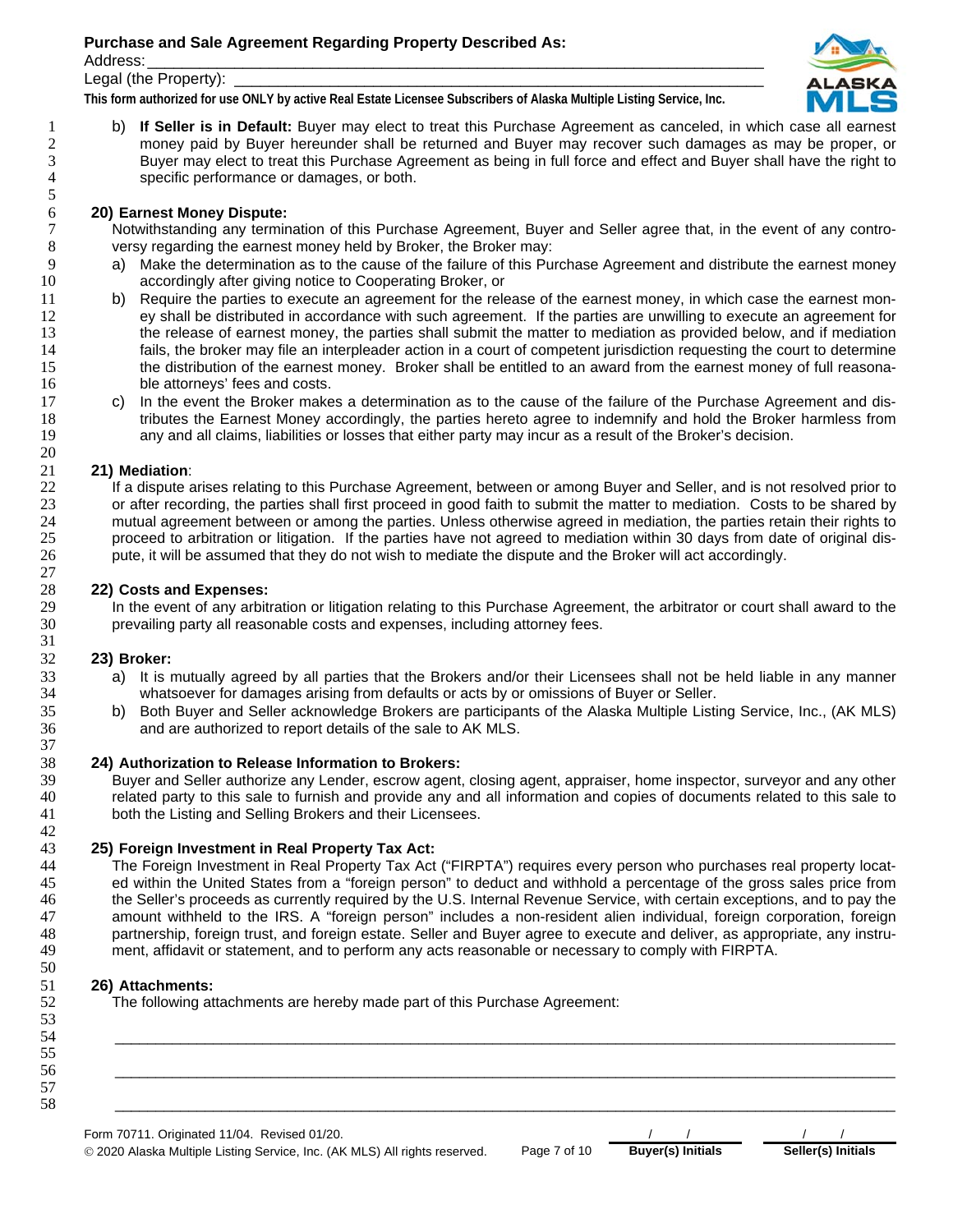Address: \_\_\_\_\_\_\_\_\_\_\_\_\_\_\_\_\_\_\_\_\_\_\_\_\_\_\_\_\_\_\_\_\_\_\_\_\_\_\_\_\_\_\_\_\_\_\_\_\_\_\_\_\_\_\_\_\_\_\_\_\_\_\_\_\_\_\_\_\_\_\_

Legal (the Property):

**This form authorized for use ONLY by active Real Estate Licensee Subscribers of Alaska Multiple Listing Service, Inc.** 



b) **If Seller is in Default:** Buyer may elect to treat this Purchase Agreement as canceled, in which case all earnest 2 money paid by Buyer hereunder shall be returned and Buyer may recover such damages as may be proper, or<br>Buyer may elect to treat this Purchase Agreement as being in full force and effect and Buyer shall have the right to 3 Buyer may elect to treat this Purchase Agreement as being in full force and effect and Buyer shall have the right to specific performance or damages, or both. specific performance or damages, or both.

# **20) Earnest Money Dispute:**

Notwithstanding any termination of this Purchase Agreement, Buyer and Seller agree that, in the event of any contro-versy regarding the earnest money held by Broker, the Broker may:

- 9 a) Make the determination as to the cause of the failure of this Purchase Agreement and distribute the earnest money accordingly after giving notice to Cooperating Broker, or
- 11 b) Require the parties to execute an agreement for the release of the earnest money, in which case the earnest mon-ey shall be distributed in accordance with such agreement. If the parties are unwilling to execute an agreement for the release of earnest money, the parties shall submit the matter to mediation as provided below, and if mediation 14 fails, the broker may file an interpleader action in a court of competent jurisdiction requesting the court to determine<br>15 the distribution of the earnest money. Broker shall be entitled to an award from the earnest mo the distribution of the earnest money. Broker shall be entitled to an award from the earnest money of full reasona-ble attorneys' fees and costs.
- c) In the event the Broker makes a determination as to the cause of the failure of the Purchase Agreement and dis-18 tributes the Earnest Money accordingly, the parties hereto agree to indemnify and hold the Broker harmless from<br>19 same any and all claims, liabilities or losses that either party may incur as a result of the Broker's d any and all claims, liabilities or losses that either party may incur as a result of the Broker's decision.

# **21) Mediation**:

If a dispute arises relating to this Purchase Agreement, between or among Buyer and Seller, and is not resolved prior to or after recording, the parties shall first proceed in good faith to submit the matter to mediation. Costs to be shared by 24 mutual agreement between or among the parties. Unless otherwise agreed in mediation, the parties retain their rights to<br>25 proceed to arbitration or litigation. If the parties have not agreed to mediation within 30 days proceed to arbitration or litigation. If the parties have not agreed to mediation within 30 days from date of original dis-pute, it will be assumed that they do not wish to mediate the dispute and the Broker will act accordingly.

### **22) Costs and Expenses:**

In the event of any arbitration or litigation relating to this Purchase Agreement, the arbitrator or court shall award to the prevailing party all reasonable costs and expenses, including attorney fees.

## **23) Broker:**

- a) It is mutually agreed by all parties that the Brokers and/or their Licensees shall not be held liable in any manner whatsoever for damages arising from defaults or acts by or omissions of Buyer or Seller.
- b) Both Buyer and Seller acknowledge Brokers are participants of the Alaska Multiple Listing Service, Inc., (AK MLS) and are authorized to report details of the sale to AK MLS.

### **24) Authorization to Release Information to Brokers:**

Buyer and Seller authorize any Lender, escrow agent, closing agent, appraiser, home inspector, surveyor and any other related party to this sale to furnish and provide any and all information and copies of documents related to this sale to both the Listing and Selling Brokers and their Licensees.

## **25) Foreign Investment in Real Property Tax Act:**

The Foreign Investment in Real Property Tax Act ("FIRPTA") requires every person who purchases real property locat-ed within the United States from a "foreign person" to deduct and withhold a percentage of the gross sales price from the Seller's proceeds as currently required by the U.S. Internal Revenue Service, with certain exceptions, and to pay the amount withheld to the IRS. A "foreign person" includes a non-resident alien individual, foreign corporation, foreign 48 partnership, foreign trust, and foreign estate. Seller and Buyer agree to execute and deliver, as appropriate, any instru-<br>49 ment, affidavit or statement, and to perform any acts reasonable or necessary to comply with ment, affidavit or statement, and to perform any acts reasonable or necessary to comply with FIRPTA.

## **26) Attachments:**

The following attachments are hereby made part of this Purchase Agreement:

Form 70711. Originated 11/04. Revised 01/20. \_\_\_\_\_\_\_\_\_\_\_\_\_\_\_\_\_\_\_\_\_\_\_\_\_\_\_\_\_\_\_\_\_\_\_\_\_\_\_\_\_\_\_\_\_\_\_\_\_\_\_\_\_\_\_\_\_\_\_\_\_\_\_\_\_\_\_\_\_\_\_\_\_\_\_\_\_\_\_\_\_\_\_\_\_\_\_\_\_\_\_\_\_\_\_ \_\_\_\_\_\_\_\_\_\_\_\_\_\_\_\_\_\_\_\_\_\_\_\_\_\_\_\_\_\_\_\_\_\_\_\_\_\_\_\_\_\_\_\_\_\_\_\_\_\_\_\_\_\_\_\_\_\_\_\_\_\_\_\_\_\_\_\_\_\_\_\_\_\_\_\_\_\_\_\_\_\_\_\_\_\_\_\_\_\_\_\_\_\_\_ \_\_\_\_\_\_\_\_\_\_\_\_\_\_\_\_\_\_\_\_\_\_\_\_\_\_\_\_\_\_\_\_\_\_\_\_\_\_\_\_\_\_\_\_\_\_\_\_\_\_\_\_\_\_\_\_\_\_\_\_\_\_\_\_\_\_\_\_\_\_\_\_\_\_\_\_\_\_\_\_\_\_\_\_\_\_\_\_\_\_\_\_\_\_\_

© 2020 Alaska Multiple Listing Service, Inc. (AK MLS) All rights reserved. Page 7 of 10 **Buyer(s) Initials Seller(s) Initials**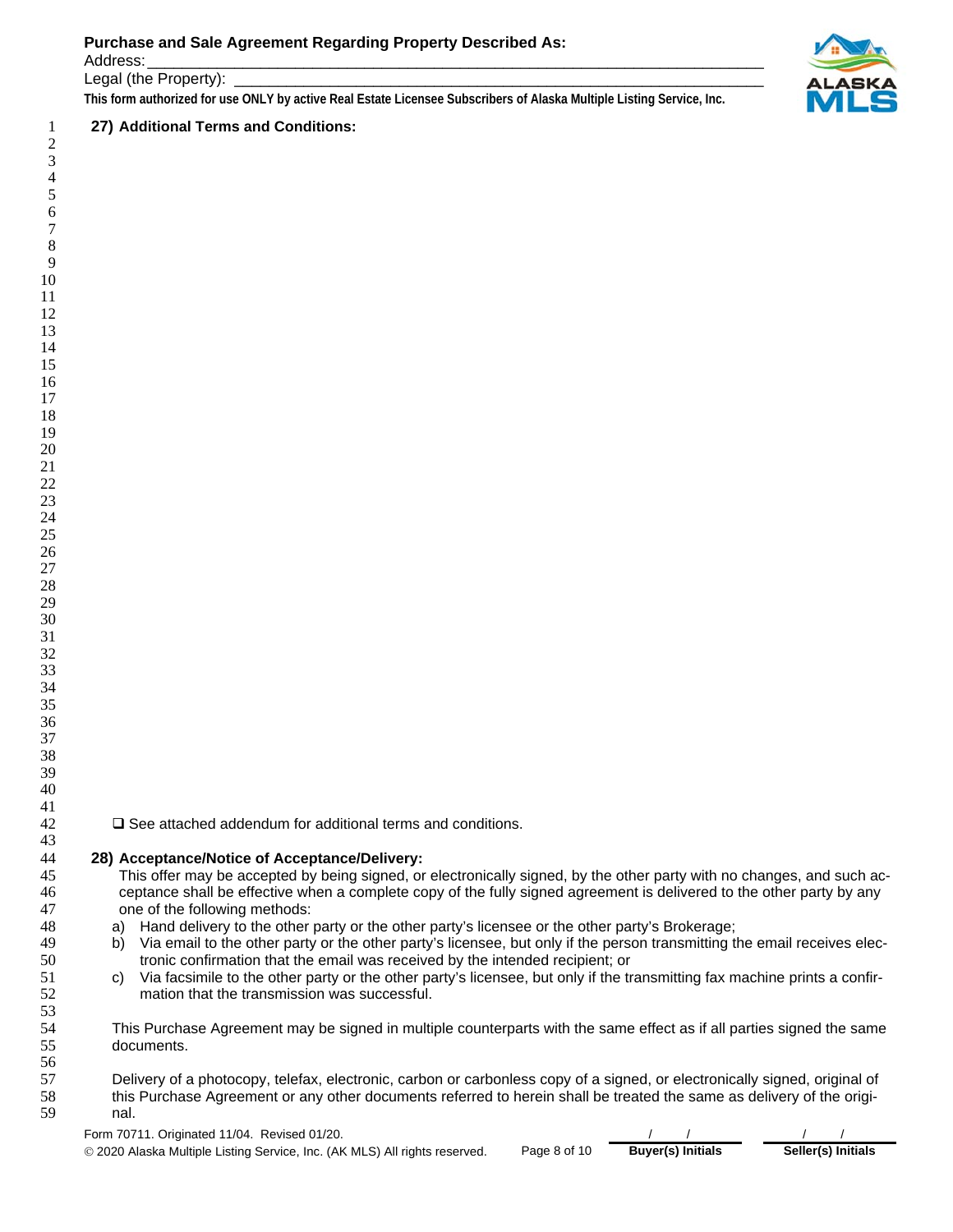Address: \_\_\_\_\_\_\_\_\_\_\_\_\_\_\_\_\_\_\_\_\_\_\_\_\_\_\_\_\_\_\_\_\_\_\_\_\_\_\_\_\_\_\_\_\_\_\_\_\_\_\_\_\_\_\_\_\_\_\_\_\_\_\_\_\_\_\_\_\_\_\_

Legal (the Property):

**This form authorized for use ONLY by active Real Estate Licensee Subscribers of Alaska Multiple Listing Service, Inc.** 

# **27) Additional Terms and Conditions:**



 $\Box$  See attached addendum for additional terms and conditions.

### **28) Acceptance/Notice of Acceptance/Delivery:**

This offer may be accepted by being signed, or electronically signed, by the other party with no changes, and such ac-ceptance shall be effective when a complete copy of the fully signed agreement is delivered to the other party by any one of the following methods:

- a) Hand delivery to the other party or the other party's licensee or the other party's Brokerage;
- b) Via email to the other party or the other party's licensee, but only if the person transmitting the email receives elec-tronic confirmation that the email was received by the intended recipient; or
- c) Via facsimile to the other party or the other party's licensee, but only if the transmitting fax machine prints a confir-mation that the transmission was successful.

54 This Purchase Agreement may be signed in multiple counterparts with the same effect as if all parties signed the same<br>55 documents. documents.

Delivery of a photocopy, telefax, electronic, carbon or carbonless copy of a signed, or electronically signed, original of this Purchase Agreement or any other documents referred to herein shall be treated the same as delivery of the origi-nal.

Form 70711. Originated 11/04. Revised 01/20.

© 2020 Alaska Multiple Listing Service, Inc. (AK MLS) All rights reserved. Page 8 of 10 **Buyer(s) Initials Seller(s) Initials**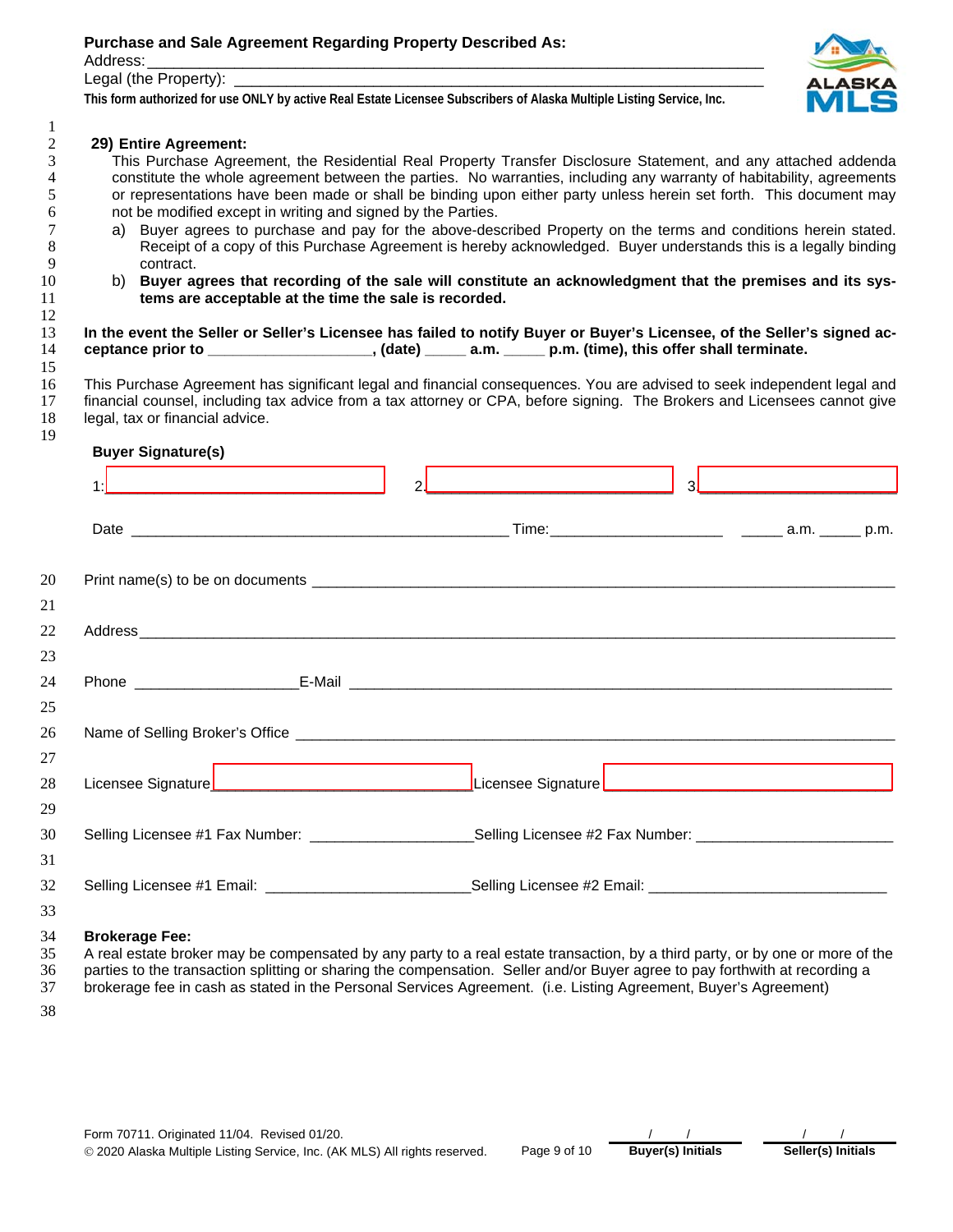Address: \_\_\_\_\_\_\_\_\_\_\_\_\_\_\_\_\_\_\_\_\_\_\_\_\_\_\_\_\_\_\_\_\_\_\_\_\_\_\_\_\_\_\_\_\_\_\_\_\_\_\_\_\_\_\_\_\_\_\_\_\_\_\_\_\_\_\_\_\_\_\_

#### Legal (the Property):

**This form authorized for use ONLY by active Real Estate Licensee Subscribers of Alaska Multiple Listing Service, Inc.** 



# **29) Entire Agreement:**

3 This Purchase Agreement, the Residential Real Property Transfer Disclosure Statement, and any attached addenda<br>4 constitute the whole agreement between the parties. No warranties, including any warranty of habitability, 4 constitute the whole agreement between the parties. No warranties, including any warranty of habitability, agreements<br>5 or representations have been made or shall be binding upon either party unless herein set forth. Thi or representations have been made or shall be binding upon either party unless herein set forth. This document may not be modified except in writing and signed by the Parties.

- a) Buyer agrees to purchase and pay for the above-described Property on the terms and conditions herein stated. Receipt of a copy of this Purchase Agreement is hereby acknowledged. Buyer understands this is a legally binding contract.
- b) **Buyer agrees that recording of the sale will constitute an acknowledgment that the premises and its sys-tems are acceptable at the time the sale is recorded.**

**In the event the Seller or Seller's Licensee has failed to notify Buyer or Buyer's Licensee, of the Seller's signed ac-ceptance prior to \_\_\_\_\_\_\_\_\_\_\_\_\_\_\_\_\_\_\_\_, (date) \_\_\_\_\_ a.m. \_\_\_\_\_ p.m. (time), this offer shall terminate.** 

This Purchase Agreement has significant legal and financial consequences. You are advised to seek independent legal and financial counsel, including tax advice from a tax attorney or CPA, before signing. The Brokers and Licensees cannot give legal, tax or financial advice.

### **Buyer Signature(s)**

| 20             |                       |                                                                                                                                                                                                                                                              |  |
|----------------|-----------------------|--------------------------------------------------------------------------------------------------------------------------------------------------------------------------------------------------------------------------------------------------------------|--|
| 21             |                       |                                                                                                                                                                                                                                                              |  |
| 22             |                       |                                                                                                                                                                                                                                                              |  |
| 23             |                       |                                                                                                                                                                                                                                                              |  |
| 24             |                       |                                                                                                                                                                                                                                                              |  |
| 25             |                       |                                                                                                                                                                                                                                                              |  |
| 26             |                       |                                                                                                                                                                                                                                                              |  |
| 27             |                       |                                                                                                                                                                                                                                                              |  |
| 28             |                       |                                                                                                                                                                                                                                                              |  |
| 29             |                       |                                                                                                                                                                                                                                                              |  |
| 30             |                       | Selling Licensee #1 Fax Number: __________________________Selling Licensee #2 Fax Number: ____________________                                                                                                                                               |  |
| 31             |                       |                                                                                                                                                                                                                                                              |  |
| 32             |                       | Selling Licensee #1 Email: __________________________________Selling Licensee #2 Email: ______________________                                                                                                                                               |  |
| 33             |                       |                                                                                                                                                                                                                                                              |  |
| 34<br>35<br>36 | <b>Brokerage Fee:</b> | A real estate broker may be compensated by any party to a real estate transaction, by a third party, or by one or more of the<br>parties to the transaction splitting or sharing the compensation. Seller and/or Buyer agree to pay forthwith at recording a |  |

brokerage fee in cash as stated in the Personal Services Agreement. (i.e. Listing Agreement, Buyer's Agreement)